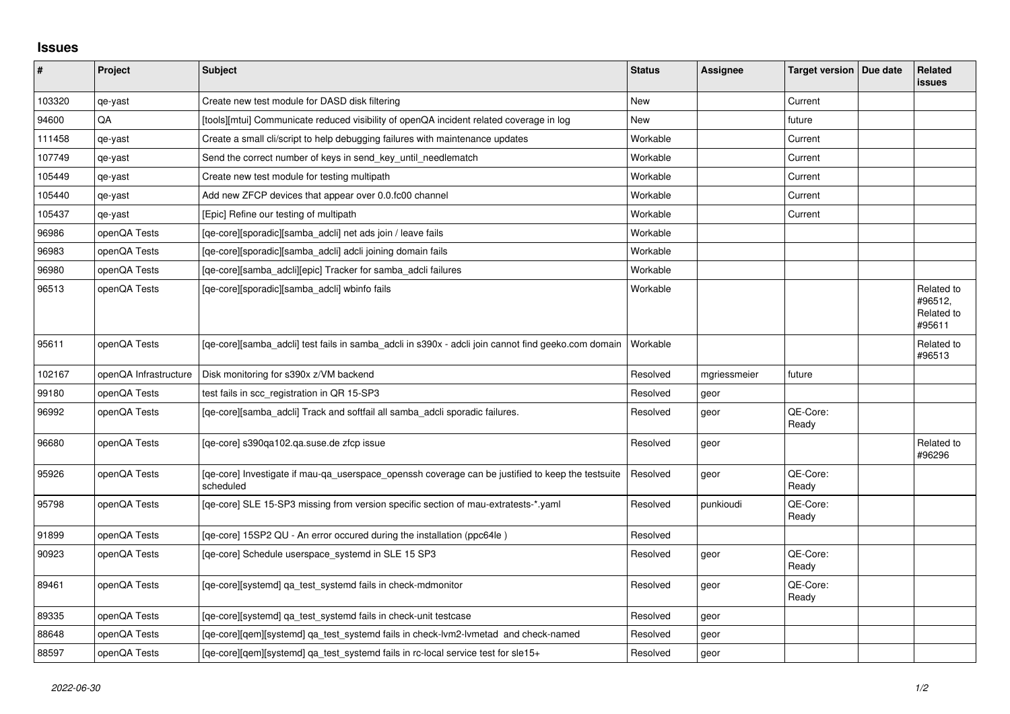## **Issues**

| #      | Project               | <b>Subject</b>                                                                                                 | <b>Status</b> | Assignee     | Target version   Due date | Related<br><b>issues</b>                      |
|--------|-----------------------|----------------------------------------------------------------------------------------------------------------|---------------|--------------|---------------------------|-----------------------------------------------|
| 103320 | qe-yast               | Create new test module for DASD disk filtering                                                                 | New           |              | Current                   |                                               |
| 94600  | QA                    | [tools][mtui] Communicate reduced visibility of openQA incident related coverage in log                        | <b>New</b>    |              | future                    |                                               |
| 111458 | qe-yast               | Create a small cli/script to help debugging failures with maintenance updates                                  | Workable      |              | Current                   |                                               |
| 107749 | qe-yast               | Send the correct number of keys in send key until needlematch                                                  | Workable      |              | Current                   |                                               |
| 105449 | qe-yast               | Create new test module for testing multipath                                                                   | Workable      |              | Current                   |                                               |
| 105440 | qe-yast               | Add new ZFCP devices that appear over 0.0.fc00 channel                                                         | Workable      |              | Current                   |                                               |
| 105437 | qe-yast               | [Epic] Refine our testing of multipath                                                                         | Workable      |              | Current                   |                                               |
| 96986  | openQA Tests          | [qe-core][sporadic][samba_adcli] net ads join / leave fails                                                    | Workable      |              |                           |                                               |
| 96983  | openQA Tests          | [qe-core][sporadic][samba_adcli] adcli joining domain fails                                                    | Workable      |              |                           |                                               |
| 96980  | openQA Tests          | [qe-core][samba_adcli][epic] Tracker for samba_adcli failures                                                  | Workable      |              |                           |                                               |
| 96513  | openQA Tests          | [qe-core][sporadic][samba_adcli] wbinfo fails                                                                  | Workable      |              |                           | Related to<br>#96512,<br>Related to<br>#95611 |
| 95611  | openQA Tests          | [qe-core][samba_adcli] test fails in samba_adcli in s390x - adcli join cannot find geeko.com domain            | Workable      |              |                           | Related to<br>#96513                          |
| 102167 | openQA Infrastructure | Disk monitoring for s390x z/VM backend                                                                         | Resolved      | mgriessmeier | future                    |                                               |
| 99180  | openQA Tests          | test fails in scc registration in QR 15-SP3                                                                    | Resolved      | geor         |                           |                                               |
| 96992  | openQA Tests          | [qe-core][samba_adcli] Track and softfail all samba_adcli sporadic failures.                                   | Resolved      | geor         | QE-Core:<br>Ready         |                                               |
| 96680  | openQA Tests          | [qe-core] s390qa102.qa.suse.de zfcp issue                                                                      | Resolved      | geor         |                           | Related to<br>#96296                          |
| 95926  | openQA Tests          | [qe-core] Investigate if mau-qa_userspace_openssh coverage can be justified to keep the testsuite<br>scheduled | Resolved      | geor         | QE-Core:<br>Ready         |                                               |
| 95798  | openQA Tests          | [qe-core] SLE 15-SP3 missing from version specific section of mau-extratests-*.yaml                            | Resolved      | punkioudi    | QE-Core:<br>Ready         |                                               |
| 91899  | openQA Tests          | [qe-core] 15SP2 QU - An error occured during the installation (ppc64le)                                        | Resolved      |              |                           |                                               |
| 90923  | openQA Tests          | [qe-core] Schedule userspace_systemd in SLE 15 SP3                                                             | Resolved      | geor         | QE-Core:<br>Ready         |                                               |
| 89461  | openQA Tests          | [qe-core][systemd] qa_test_systemd fails in check-mdmonitor                                                    | Resolved      | geor         | QE-Core:<br>Ready         |                                               |
| 89335  | openQA Tests          | [qe-core][systemd] qa_test_systemd fails in check-unit testcase                                                | Resolved      | geor         |                           |                                               |
| 88648  | openQA Tests          | [qe-core][qem][systemd] qa_test_systemd fails in check-lvm2-lvmetad and check-named                            | Resolved      | geor         |                           |                                               |
| 88597  | openQA Tests          | [qe-core][gem][systemd] ga_test_systemd fails in rc-local service test for sle15+                              | Resolved      | geor         |                           |                                               |